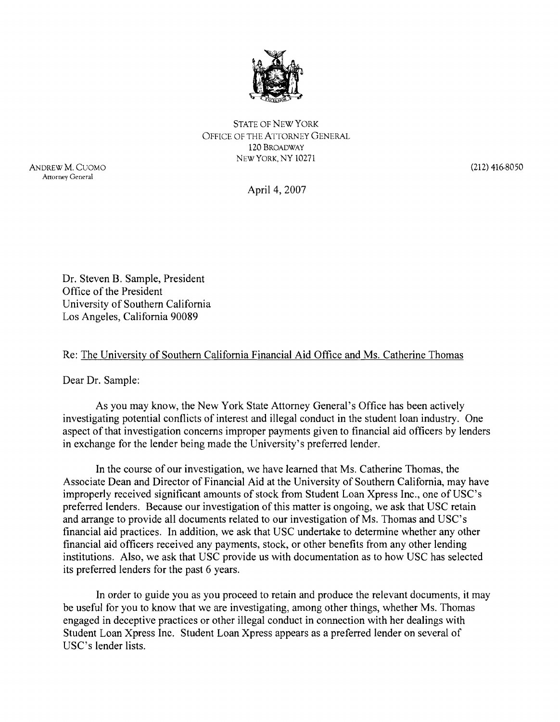

STATE OF NEW YORK OFFICE OF THE ATTORNEY GENERAL 120 BROADWAY NEW YORK, NY 10271

ANDREW M. CUOMO Attorney General

 $(212)$  416-8050

April 4,2007

Dr. Steven B. Sample, President Office of the President University of Southern California Los Angeles, California 90089

## Re: The University of Southern California Financial Aid Office and Ms. Catherine Thomas

Dear Dr. Sample:

As you may know, the New York State Attorney General's Office has been actively investigating potential conflicts of interest and illegal conduct in the student loan industry. One aspect of that investigation concerns improper payments given to financial aid officers by lenders in exchange for the lender being made the University's preferred lender.

In the course of our investigation, we have learned that Ms. Catherine Thomas, the Associate Dean and Director of Financial Aid at the University of Southern California, may have improperly received significant amounts of stock from Student Loan Xpress Inc., one of USC's preferred lenders. Because our investigation of this matter is ongoing, we ask that USC retain and arrange to provide all documents related to our investigation of Ms. Thomas and USC's financial aid practices. In addition, we ask that USC undertake to determine whether any other financial aid officers received any payments, stock, or other benefits from any other lending institutions. Also, we ask that USC provide us with documentation as to how USC has selected its preferred lenders for the past 6 years.

In order to guide you as you proceed to retain and produce the relevant documents, it may be useful for you to know that we are investigating, among other things, whether Ms. Thomas engaged in deceptive practices or other illegal conduct in connection with her dealings with Student Loan Xpress Inc. Student Loan Xpress appears as a preferred lender on several of USC's lender lists.